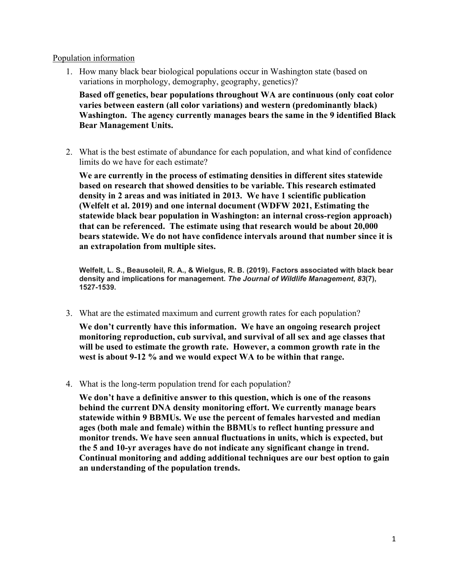## Population information

1. How many black bear biological populations occur in Washington state (based on variations in morphology, demography, geography, genetics)?

**Based off genetics, bear populations throughout WA are continuous (only coat color varies between eastern (all color variations) and western (predominantly black) Washington. The agency currently manages bears the same in the 9 identified Black Bear Management Units.**

2. What is the best estimate of abundance for each population, and what kind of confidence limits do we have for each estimate?

**We are currently in the process of estimating densities in different sites statewide based on research that showed densities to be variable. This research estimated density in 2 areas and was initiated in 2013. We have 1 scientific publication (Welfelt et al. 2019) and one internal document (WDFW 2021, Estimating the statewide black bear population in Washington: an internal cross-region approach) that can be referenced. The estimate using that research would be about 20,000 bears statewide. We do not have confidence intervals around that number since it is an extrapolation from multiple sites.** 

**Welfelt, L. S., Beausoleil, R. A., & Wielgus, R. B. (2019). Factors associated with black bear density and implications for management.** *The Journal of Wildlife Management***,** *83***(7), 1527-1539.**

3. What are the estimated maximum and current growth rates for each population?

**We don't currently have this information. We have an ongoing research project monitoring reproduction, cub survival, and survival of all sex and age classes that will be used to estimate the growth rate. However, a common growth rate in the west is about 9-12 % and we would expect WA to be within that range.** 

4. What is the long-term population trend for each population?

**We don't have a definitive answer to this question, which is one of the reasons behind the current DNA density monitoring effort. We currently manage bears statewide within 9 BBMUs. We use the percent of females harvested and median ages (both male and female) within the BBMUs to reflect hunting pressure and monitor trends. We have seen annual fluctuations in units, which is expected, but the 5 and 10-yr averages have do not indicate any significant change in trend. Continual monitoring and adding additional techniques are our best option to gain an understanding of the population trends.**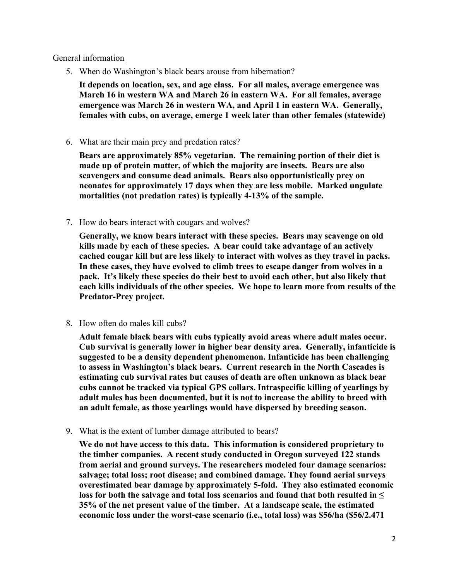## General information

5. When do Washington's black bears arouse from hibernation?

**It depends on location, sex, and age class. For all males, average emergence was March 16 in western WA and March 26 in eastern WA. For all females, average emergence was March 26 in western WA, and April 1 in eastern WA. Generally, females with cubs, on average, emerge 1 week later than other females (statewide)**

6. What are their main prey and predation rates?

**Bears are approximately 85% vegetarian. The remaining portion of their diet is made up of protein matter, of which the majority are insects. Bears are also scavengers and consume dead animals. Bears also opportunistically prey on neonates for approximately 17 days when they are less mobile. Marked ungulate mortalities (not predation rates) is typically 4-13% of the sample.**

7. How do bears interact with cougars and wolves?

**Generally, we know bears interact with these species. Bears may scavenge on old kills made by each of these species. A bear could take advantage of an actively cached cougar kill but are less likely to interact with wolves as they travel in packs. In these cases, they have evolved to climb trees to escape danger from wolves in a pack. It's likely these species do their best to avoid each other, but also likely that each kills individuals of the other species. We hope to learn more from results of the Predator-Prey project.**

8. How often do males kill cubs?

**Adult female black bears with cubs typically avoid areas where adult males occur. Cub survival is generally lower in higher bear density area. Generally, infanticide is suggested to be a density dependent phenomenon. Infanticide has been challenging to assess in Washington's black bears. Current research in the North Cascades is estimating cub survival rates but causes of death are often unknown as black bear cubs cannot be tracked via typical GPS collars. Intraspecific killing of yearlings by adult males has been documented, but it is not to increase the ability to breed with an adult female, as those yearlings would have dispersed by breeding season.**

9. What is the extent of lumber damage attributed to bears?

**We do not have access to this data. This information is considered proprietary to the timber companies. A recent study conducted in Oregon surveyed 122 stands from aerial and ground surveys. The researchers modeled four damage scenarios: salvage; total loss; root disease; and combined damage. They found aerial surveys overestimated bear damage by approximately 5-fold. They also estimated economic loss for both the salvage and total loss scenarios and found that both resulted in ≤ 35% of the net present value of the timber. At a landscape scale, the estimated economic loss under the worst-case scenario (i.e., total loss) was \$56/ha (\$56/2.471**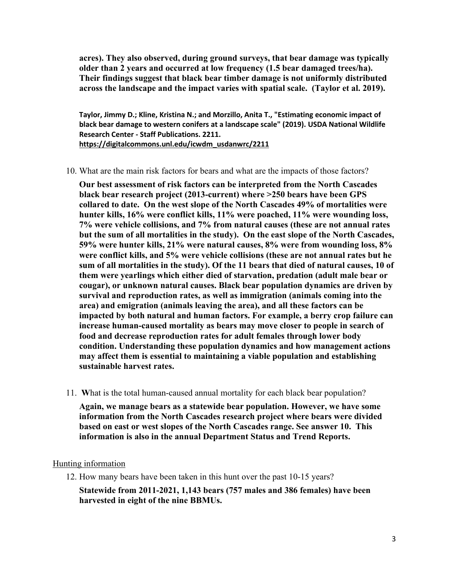**acres). They also observed, during ground surveys, that bear damage was typically older than 2 years and occurred at low frequency (1.5 bear damaged trees/ha). Their findings suggest that black bear timber damage is not uniformly distributed across the landscape and the impact varies with spatial scale. (Taylor et al. 2019).** 

**Taylor, Jimmy D.; Kline, Kristina N.; and Morzillo, Anita T., "Estimating economic impact of black bear damage to western conifers at a landscape scale" (2019). USDA National Wildlife Research Center - Staff Publications. 2211. [https://digitalcommons.unl.edu/icwdm\\_usdanwrc/2211](https://digitalcommons.unl.edu/icwdm_usdanwrc/2211)**

10. What are the main risk factors for bears and what are the impacts of those factors?

**Our best assessment of risk factors can be interpreted from the North Cascades black bear research project (2013-current) where >250 bears have been GPS collared to date. On the west slope of the North Cascades 49% of mortalities were hunter kills, 16% were conflict kills, 11% were poached, 11% were wounding loss, 7% were vehicle collisions, and 7% from natural causes (these are not annual rates but the sum of all mortalities in the study). On the east slope of the North Cascades, 59% were hunter kills, 21% were natural causes, 8% were from wounding loss, 8% were conflict kills, and 5% were vehicle collisions (these are not annual rates but he sum of all mortalities in the study). Of the 11 bears that died of natural causes, 10 of them were yearlings which either died of starvation, predation (adult male bear or cougar), or unknown natural causes. Black bear population dynamics are driven by survival and reproduction rates, as well as immigration (animals coming into the area) and emigration (animals leaving the area), and all these factors can be impacted by both natural and human factors. For example, a berry crop failure can increase human-caused mortality as bears may move closer to people in search of food and decrease reproduction rates for adult females through lower body condition. Understanding these population dynamics and how management actions may affect them is essential to maintaining a viable population and establishing sustainable harvest rates.**

11. **W**hat is the total human-caused annual mortality for each black bear population?

**Again, we manage bears as a statewide bear population. However, we have some information from the North Cascades research project where bears were divided based on east or west slopes of the North Cascades range. See answer 10. This information is also in the annual Department Status and Trend Reports.**

## Hunting information

12. How many bears have been taken in this hunt over the past 10-15 years? **Statewide from 2011-2021, 1,143 bears (757 males and 386 females) have been harvested in eight of the nine BBMUs.**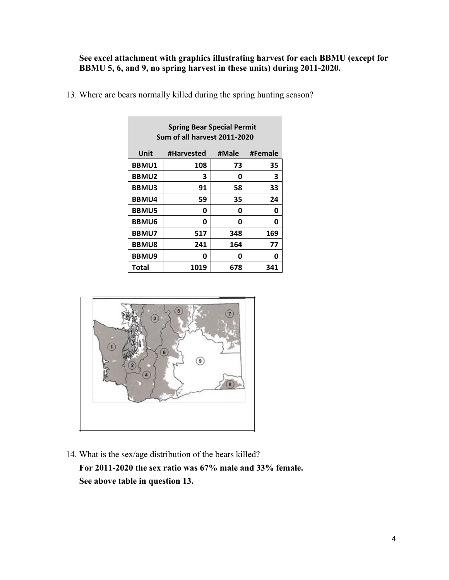**See excel attachment with graphics illustrating harvest for each BBMU (except for BBMU 5, 6, and 9, no spring harvest in these units) during 2011-2020.** 

| Sum of all harvest 2011-2020 |            |       |         |  |  |  |  |
|------------------------------|------------|-------|---------|--|--|--|--|
| Unit                         | #Harvested | #Male | #Female |  |  |  |  |
| <b>BBMU1</b>                 | 108        | 73    | 35      |  |  |  |  |
| <b>BBMU2</b>                 | 3          | 0     | 3       |  |  |  |  |
| <b>BBMU3</b>                 | 91         | 58    | 33      |  |  |  |  |
| <b>BBMU4</b>                 | 59         | 35    | 24      |  |  |  |  |
| <b>BBMU5</b>                 | 0          | 0     | 0       |  |  |  |  |
| <b>BBMU6</b>                 | 0          | 0     | 0       |  |  |  |  |
| <b>BBMU7</b>                 | 517        | 348   | 169     |  |  |  |  |
| <b>BBMU8</b>                 | 241        | 164   | 77      |  |  |  |  |
| <b>BBMU9</b>                 | ი          | 0     | 0       |  |  |  |  |
| Total                        | 1019       | 678   | 341     |  |  |  |  |

 **Spring Bear Special Permit** 

13. Where are bears normally killed during the spring hunting season?



14. What is the sex/age distribution of the bears killed? **For 2011-2020 the sex ratio was 67% male and 33% female. See above table in question 13.**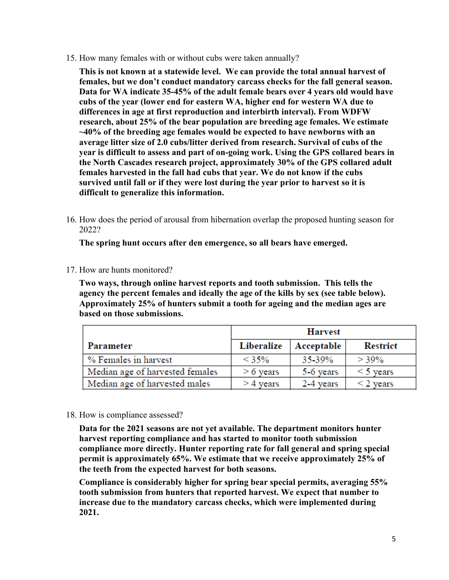15. How many females with or without cubs were taken annually?

**This is not known at a statewide level. We can provide the total annual harvest of females, but we don't conduct mandatory carcass checks for the fall general season. Data for WA indicate 35-45% of the adult female bears over 4 years old would have cubs of the year (lower end for eastern WA, higher end for western WA due to differences in age at first reproduction and interbirth interval). From WDFW research, about 25% of the bear population are breeding age females. We estimate ~40% of the breeding age females would be expected to have newborns with an average litter size of 2.0 cubs/litter derived from research. Survival of cubs of the year is difficult to assess and part of on-going work. Using the GPS collared bears in the North Cascades research project, approximately 30% of the GPS collared adult females harvested in the fall had cubs that year. We do not know if the cubs survived until fall or if they were lost during the year prior to harvest so it is difficult to generalize this information.** 

16. How does the period of arousal from hibernation overlap the proposed hunting season for 2022?

**The spring hunt occurs after den emergence, so all bears have emerged.**

17. How are hunts monitored?

**Two ways, through online harvest reports and tooth submission. This tells the agency the percent females and ideally the age of the kills by sex (see table below). Approximately 25% of hunters submit a tooth for ageing and the median ages are based on those submissions.** 

|                                 | <b>Harvest</b> |            |                 |  |  |
|---------------------------------|----------------|------------|-----------------|--|--|
| Parameter                       | Liberalize     | Acceptable | <b>Restrict</b> |  |  |
| % Females in harvest            | < 35%          | 35-39%     | $> 39\%$        |  |  |
| Median age of harvested females | $> 6$ years    | 5-6 years  | $\leq$ 5 years  |  |  |
| Median age of harvested males   | > 4 years      | 2-4 years  | $\leq$ 2 years  |  |  |

18. How is compliance assessed?

**Data for the 2021 seasons are not yet available. The department monitors hunter harvest reporting compliance and has started to monitor tooth submission compliance more directly. Hunter reporting rate for fall general and spring special permit is approximately 65%. We estimate that we receive approximately 25% of the teeth from the expected harvest for both seasons.** 

**Compliance is considerably higher for spring bear special permits, averaging 55% tooth submission from hunters that reported harvest. We expect that number to increase due to the mandatory carcass checks, which were implemented during 2021.**